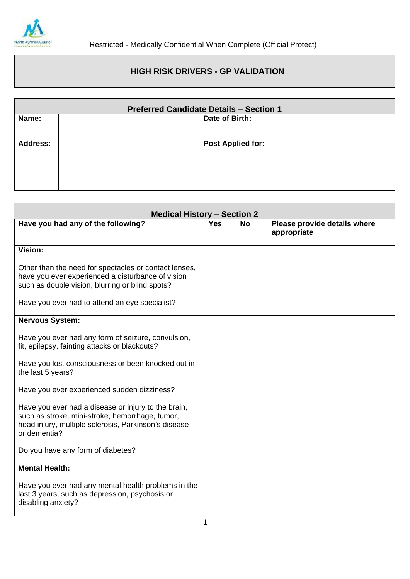

# **HIGH RISK DRIVERS - GP VALIDATION**

| <b>Preferred Candidate Details - Section 1</b> |  |                          |  |
|------------------------------------------------|--|--------------------------|--|
| Name:                                          |  | Date of Birth:           |  |
| <b>Address:</b>                                |  | <b>Post Applied for:</b> |  |

| <b>Medical History - Section 2</b>                                                                                                                                             |            |           |                                             |
|--------------------------------------------------------------------------------------------------------------------------------------------------------------------------------|------------|-----------|---------------------------------------------|
| Have you had any of the following?                                                                                                                                             | <b>Yes</b> | <b>No</b> | Please provide details where<br>appropriate |
| Vision:                                                                                                                                                                        |            |           |                                             |
| Other than the need for spectacles or contact lenses,<br>have you ever experienced a disturbance of vision<br>such as double vision, blurring or blind spots?                  |            |           |                                             |
| Have you ever had to attend an eye specialist?                                                                                                                                 |            |           |                                             |
| <b>Nervous System:</b>                                                                                                                                                         |            |           |                                             |
| Have you ever had any form of seizure, convulsion,<br>fit, epilepsy, fainting attacks or blackouts?                                                                            |            |           |                                             |
| Have you lost consciousness or been knocked out in<br>the last 5 years?                                                                                                        |            |           |                                             |
| Have you ever experienced sudden dizziness?                                                                                                                                    |            |           |                                             |
| Have you ever had a disease or injury to the brain,<br>such as stroke, mini-stroke, hemorrhage, tumor,<br>head injury, multiple sclerosis, Parkinson's disease<br>or dementia? |            |           |                                             |
| Do you have any form of diabetes?                                                                                                                                              |            |           |                                             |
| <b>Mental Health:</b>                                                                                                                                                          |            |           |                                             |
| Have you ever had any mental health problems in the<br>last 3 years, such as depression, psychosis or<br>disabling anxiety?                                                    |            |           |                                             |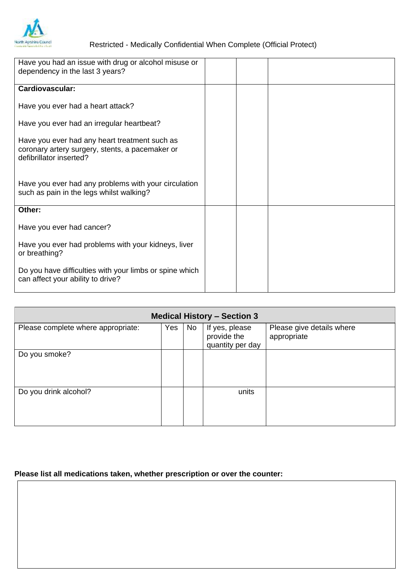

| Have you had an issue with drug or alcohol misuse or<br>dependency in the last 3 years?                                     |  |  |
|-----------------------------------------------------------------------------------------------------------------------------|--|--|
| <b>Cardiovascular:</b>                                                                                                      |  |  |
| Have you ever had a heart attack?                                                                                           |  |  |
| Have you ever had an irregular heartbeat?                                                                                   |  |  |
| Have you ever had any heart treatment such as<br>coronary artery surgery, stents, a pacemaker or<br>defibrillator inserted? |  |  |
| Have you ever had any problems with your circulation<br>such as pain in the legs whilst walking?                            |  |  |
| Other:                                                                                                                      |  |  |
| Have you ever had cancer?                                                                                                   |  |  |
| Have you ever had problems with your kidneys, liver<br>or breathing?                                                        |  |  |
| Do you have difficulties with your limbs or spine which<br>can affect your ability to drive?                                |  |  |

| <b>Medical History - Section 3</b> |     |    |                                                   |                                          |  |
|------------------------------------|-----|----|---------------------------------------------------|------------------------------------------|--|
| Please complete where appropriate: | Yes | No | If yes, please<br>provide the<br>quantity per day | Please give details where<br>appropriate |  |
| Do you smoke?                      |     |    |                                                   |                                          |  |
| Do you drink alcohol?              |     |    | units                                             |                                          |  |

# **Please list all medications taken, whether prescription or over the counter:**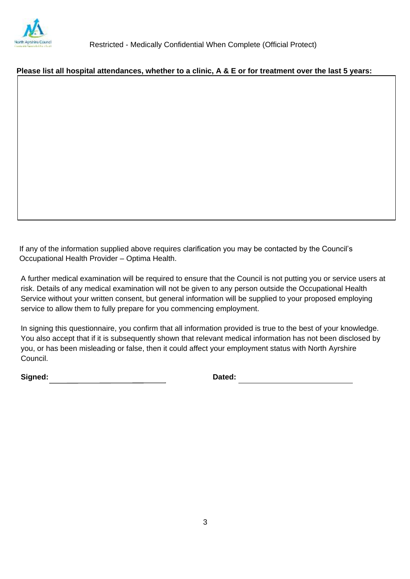

### **Please list all hospital attendances, whether to a clinic, A & E or for treatment over the last 5 years:**

If any of the information supplied above requires clarification you may be contacted by the Council's Occupational Health Provider – Optima Health.

 A further medical examination will be required to ensure that the Council is not putting you or service users at risk. Details of any medical examination will not be given to any person outside the Occupational Health Service without your written consent, but general information will be supplied to your proposed employing service to allow them to fully prepare for you commencing employment.

 In signing this questionnaire, you confirm that all information provided is true to the best of your knowledge. You also accept that if it is subsequently shown that relevant medical information has not been disclosed by you, or has been misleading or false, then it could affect your employment status with North Ayrshire Council.

 **Signed: Dated:**